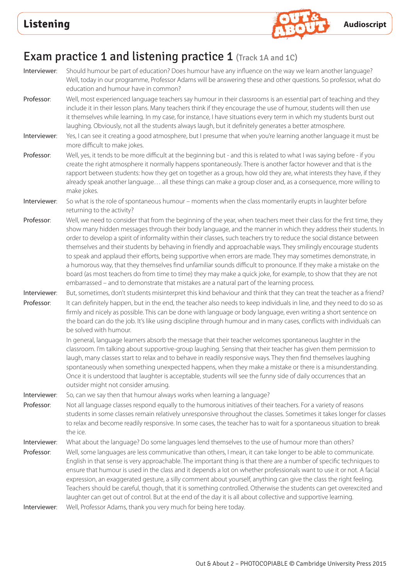

# Exam practice 1 and listening practice 1 (Track 1A and 1C)

Interviewer: Should humour be part of education? Does humour have any influence on the way we learn another language? Well, today in our programme, Professor Adams will be answering these and other questions. So professor, what do education and humour have in common? Professor: Well, most experienced language teachers say humour in their classrooms is an essential part of teaching and they include it in their lesson plans. Many teachers think if they encourage the use of humour, students will then use it themselves while learning. In my case, for instance, I have situations every term in which my students burst out laughing. Obviously, not all the students always laugh, but it definitely generates a better atmosphere. Interviewer: Yes, I can see it creating a good atmosphere, but I presume that when you're learning another language it must be more difficult to make jokes. Professor: Well, yes, it tends to be more difficult at the beginning but - and this is related to what I was saying before - if you create the right atmosphere it normally happens spontaneously. There is another factor however and that is the rapport between students: how they get on together as a group, how old they are, what interests they have, if they already speak another language… all these things can make a group closer and, as a consequence, more willing to make jokes. Interviewer: So what is the role of spontaneous humour – moments when the class momentarily erupts in laughter before returning to the activity? Professor: Well, we need to consider that from the beginning of the year, when teachers meet their class for the first time, they show many hidden messages through their body language, and the manner in which they address their students. In order to develop a spirit of informality within their classes, such teachers try to reduce the social distance between themselves and their students by behaving in friendly and approachable ways. They smilingly encourage students to speak and applaud their efforts, being supportive when errors are made. They may sometimes demonstrate, in a humorous way, that they themselves find unfamiliar sounds difficult to pronounce. If they make a mistake on the board (as most teachers do from time to time) they may make a quick joke, for example, to show that they are not embarrassed – and to demonstrate that mistakes are a natural part of the learning process. Interviewer: But, sometimes, don't students misinterpret this kind behaviour and think that they can treat the teacher as a friend? Professor: It can definitely happen, but in the end, the teacher also needs to keep individuals in line, and they need to do so as firmly and nicely as possible. This can be done with language or body language, even writing a short sentence on the board can do the job. It's like using discipline through humour and in many cases, conflicts with individuals can be solved with humour. In general, language learners absorb the message that their teacher welcomes spontaneous laughter in the classroom. I'm talking about supportive-group laughing. Sensing that their teacher has given them permission to laugh, many classes start to relax and to behave in readily responsive ways. They then find themselves laughing spontaneously when something unexpected happens, when they make a mistake or there is a misunderstanding. Once it is understood that laughter is acceptable, students will see the funny side of daily occurrences that an outsider might not consider amusing. Interviewer: So, can we say then that humour always works when learning a language? Professor: Not all language classes respond equally to the humorous initiatives of their teachers. For a variety of reasons students in some classes remain relatively unresponsive throughout the classes. Sometimes it takes longer for classes to relax and become readily responsive. In some cases, the teacher has to wait for a spontaneous situation to break the ice. Interviewer: What about the language? Do some languages lend themselves to the use of humour more than others? Professor: Well, some languages are less communicative than others, I mean, it can take longer to be able to communicate. English in that sense is very approachable. The important thing is that there are a number of specific techniques to ensure that humour is used in the class and it depends a lot on whether professionals want to use it or not. A facial expression, an exaggerated gesture, a silly comment about yourself, anything can give the class the right feeling. Teachers should be careful, though, that it is something controlled. Otherwise the students can get overexcited and laughter can get out of control. But at the end of the day it is all about collective and supportive learning. Interviewer: Well, Professor Adams, thank you very much for being here today.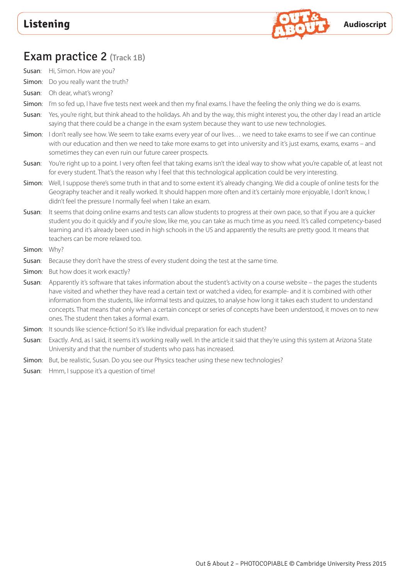

### Exam practice 2 (Track 1B)

- Susan: Hi, Simon. How are you?
- Simon: Do you really want the truth?
- Susan: Oh dear, what's wrong?
- Simon: I'm so fed up. I have five tests next week and then my final exams. I have the feeling the only thing we do is exams.
- Susan: Yes, you're right, but think ahead to the holidays. Ah and by the way, this might interest you, the other day I read an article saying that there could be a change in the exam system because they want to use new technologies.
- Simon: I don't really see how. We seem to take exams every year of our lives... we need to take exams to see if we can continue with our education and then we need to take more exams to get into university and it's just exams, exams, exams – and sometimes they can even ruin our future career prospects.
- Susan: You're right up to a point. I very often feel that taking exams isn't the ideal way to show what you're capable of, at least not for every student. That's the reason why I feel that this technological application could be very interesting.
- Simon: Well, I suppose there's some truth in that and to some extent it's already changing. We did a couple of online tests for the Geography teacher and it really worked. It should happen more often and it's certainly more enjoyable, I don't know, I didn't feel the pressure I normally feel when I take an exam.
- Susan: It seems that doing online exams and tests can allow students to progress at their own pace, so that if you are a quicker student you do it quickly and if you're slow, like me, you can take as much time as you need. It's called competency-based learning and it's already been used in high schools in the US and apparently the results are pretty good. It means that teachers can be more relaxed too.
- Simon: Why?
- Susan: Because they don't have the stress of every student doing the test at the same time.
- Simon: But how does it work exactly?
- Susan: Apparently it's software that takes information about the student's activity on a course website the pages the students have visited and whether they have read a certain text or watched a video, for example- and it is combined with other information from the students, like informal tests and quizzes, to analyse how long it takes each student to understand concepts. That means that only when a certain concept or series of concepts have been understood, it moves on to new ones. The student then takes a formal exam.
- Simon: It sounds like science-fiction! So it's like individual preparation for each student?
- Susan: Exactly. And, as I said, it seems it's working really well. In the article it said that they're using this system at Arizona State University and that the number of students who pass has increased.
- Simon: But, be realistic, Susan. Do you see our Physics teacher using these new technologies?
- Susan: Hmm, I suppose it's a question of time!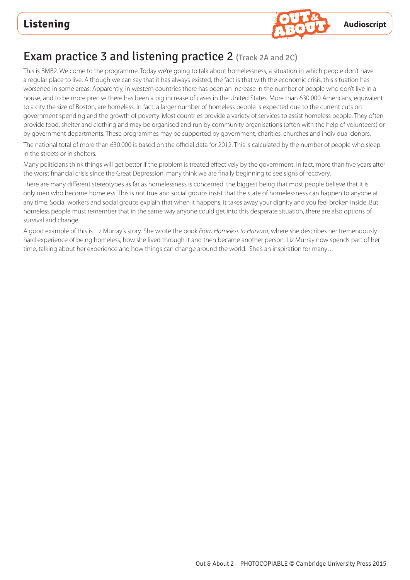

# Exam practice 3 and listening practice 2 (Track 2A and 2C)

This is BMB2. Welcome to the programme. Today we're going to talk about homelessness, a situation in which people don't have a regular place to live. Although we can say that it has always existed, the fact is that with the economic crisis, this situation has worsened in some areas. Apparently, in western countries there has been an increase in the number of people who don't live in a house, and to be more precise there has been a big increase of cases in the United States. More than 630.000 Americans, equivalent to a city the size of Boston, are homeless. In fact, a larger number of homeless people is expected due to the current cuts on government spending and the growth of poverty. Most countries provide a variety of services to assist homeless people. They often provide food, shelter and clothing and may be organised and run by community organisations (often with the help of volunteers) or by government departments. These programmes may be supported by government, charities, churches and individual donors.

The national total of more than 630.000 is based on the official data for 2012. This is calculated by the number of people who sleep in the streets or in shelters.

Many politicians think things will get better if the problem is treated effectively by the government. In fact, more than five years after the worst financial crisis since the Great Depression, many think we are finally beginning to see signs of recovery.

There are many different stereotypes as far as homelessness is concerned, the biggest being that most people believe that it is only men who become homeless. This is not true and social groups insist that the state of homelessness can happen to anyone at any time. Social workers and social groups explain that when it happens, it takes away your dignity and you feel broken inside. But homeless people must remember that in the same way anyone could get into this desperate situation, there are also options of survival and change.

A good example of this is Liz Murray's story. She wrote the book *From Homeless to Harvard*, where she describes her tremendously hard experience of being homeless, how she lived through it and then became another person. Liz Murray now spends part of her time, talking about her experience and how things can change around the world. She's an inspiration for many…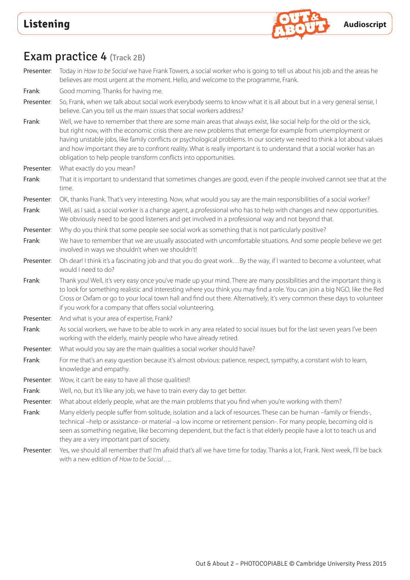

# Exam practice 4 (Track 2B)

Presenter: Today in *How to be Social* we have Frank Towers, a social worker who is going to tell us about his job and the areas he believes are most urgent at the moment. Hello, and welcome to the programme, Frank.

Frank: Good morning. Thanks for having me.

Presenter: So, Frank, when we talk about social work everybody seems to know what it is all about but in a very general sense, I believe. Can you tell us the main issues that social workers address?

Frank: Well, we have to remember that there are some main areas that always exist, like social help for the old or the sick, but right now, with the economic crisis there are new problems that emerge for example from unemployment or having unstable jobs, like family conflicts or psychological problems. In our society we need to think a lot about values and how important they are to confront reality. What is really important is to understand that a social worker has an obligation to help people transform conflicts into opportunities.

Presenter: What exactly do you mean?

Frank: That it is important to understand that sometimes changes are good, even if the people involved cannot see that at the time.

Presenter: OK, thanks Frank. That's very interesting. Now, what would you say are the main responsibilities of a social worker?

Frank: Well, as I said, a social worker is a change agent, a professional who has to help with changes and new opportunities. We obviously need to be good listeners and get involved in a professional way and not beyond that.

Presenter: Why do you think that some people see social work as something that is not particularly positive?

Frank: We have to remember that we are usually associated with uncomfortable situations. And some people believe we get involved in ways we shouldn't when we shouldn't!

Presenter: Oh dear! I think it's a fascinating job and that you do great work...By the way, if I wanted to become a volunteer, what would I need to do?

Frank: Thank you! Well, it's very easy once you've made up your mind. There are many possibilities and the important thing is to look for something realistic and interesting where you think you may find a role. You can join a big NGO, like the Red Cross or Oxfam or go to your local town hall and find out there. Alternatively, it's very common these days to volunteer if you work for a company that offers social volunteering.

Presenter: And what is your area of expertise, Frank?

Frank: As social workers, we have to be able to work in any area related to social issues but for the last seven years I've been working with the elderly, mainly people who have already retired.

Presenter: What would you say are the main qualities a social worker should have?

Frank: Frank: For me that's an easy question because it's almost obvious: patience, respect, sympathy, a constant wish to learn, knowledge and empathy.

Presenter: Wow, it can't be easy to have all those qualities!!

Frank: Well, no, but it's like any job, we have to train every day to get better.

Presenter: What about elderly people, what are the main problems that you find when you're working with them?

Frank: Many elderly people suffer from solitude, isolation and a lack of resources. These can be human –family or friends-, technical –help or assistance- or material –a low income or retirement pension-. For many people, becoming old is seen as something negative, like becoming dependent, but the fact is that elderly people have a lot to teach us and they are a very important part of society.

Presenter: Yes, we should all remember that! I'm afraid that's all we have time for today. Thanks a lot, Frank. Next week, I'll be back with a new edition of *How to be Social*….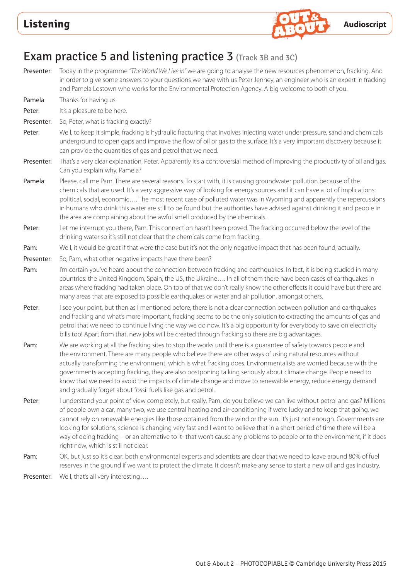

### Exam practice 5 and listening practice 3 (Track 3B and 3C)

- Presenter: Today in the programme *"The World We Live in"* we are going to analyse the new resources phenomenon, fracking. And in order to give some answers to your questions we have with us Peter Jenney, an engineer who is an expert in fracking and Pamela Lostown who works for the Environmental Protection Agency. A big welcome to both of you. Pamela: Thanks for having us. Peter: It's a pleasure to be here.
- Presenter: So, Peter, what is fracking exactly?
- Peter: Well, to keep it simple, fracking is hydraulic fracturing that involves injecting water under pressure, sand and chemicals underground to open gaps and improve the flow of oil or gas to the surface. It's a very important discovery because it can provide the quantities of gas and petrol that we need.
- Presenter: That's a very clear explanation, Peter. Apparently it's a controversial method of improving the productivity of oil and gas. Can you explain why, Pamela?
- Pamela: Please, call me Pam. There are several reasons. To start with, it is causing groundwater pollution because of the chemicals that are used. It's a very aggressive way of looking for energy sources and it can have a lot of implications: political, social, economic…. The most recent case of polluted water was in Wyoming and apparently the repercussions in humans who drink this water are still to be found but the authorities have advised against drinking it and people in the area are complaining about the awful smell produced by the chemicals.
- Peter: Let me interrupt you there, Pam. This connection hasn't been proved. The fracking occurred below the level of the drinking water so it's still not clear that the chemicals come from fracking.
- Pam: Well, it would be great if that were the case but it's not the only negative impact that has been found, actually.
- Presenter: So, Pam, what other negative impacts have there been?
- Pam: I'm certain you've heard about the connection between fracking and earthquakes. In fact, it is being studied in many countries: the United Kingdom, Spain, the US, the Ukraine…. In all of them there have been cases of earthquakes in areas where fracking had taken place. On top of that we don't really know the other effects it could have but there are many areas that are exposed to possible earthquakes or water and air pollution, amongst others.
- Peter: I see your point, but then as I mentioned before, there is not a clear connection between pollution and earthquakes and fracking and what's more important, fracking seems to be the only solution to extracting the amounts of gas and petrol that we need to continue living the way we do now. It's a big opportunity for everybody to save on electricity bills too! Apart from that, new jobs will be created through fracking so there are big advantages.
- Pam: We are working at all the fracking sites to stop the works until there is a guarantee of safety towards people and the environment. There are many people who believe there are other ways of using natural resources without actually transforming the environment, which is what fracking does. Environmentalists are worried because with the governments accepting fracking, they are also postponing talking seriously about climate change. People need to know that we need to avoid the impacts of climate change and move to renewable energy, reduce energy demand and gradually forget about fossil fuels like gas and petrol.
- Peter: I understand your point of view completely, but really, Pam, do you believe we can live without petrol and gas? Millions of people own a car, many two, we use central heating and air-conditioning if we're lucky and to keep that going, we cannot rely on renewable energies like those obtained from the wind or the sun. It's just not enough. Governments are looking for solutions, science is changing very fast and I want to believe that in a short period of time there will be a way of doing fracking – or an alternative to it- that won't cause any problems to people or to the environment, if it does right now, which is still not clear.
- Pam: OK, but just so it's clear: both environmental experts and scientists are clear that we need to leave around 80% of fuel reserves in the ground if we want to protect the climate. It doesn't make any sense to start a new oil and gas industry.

Presenter: Well, that's all very interesting....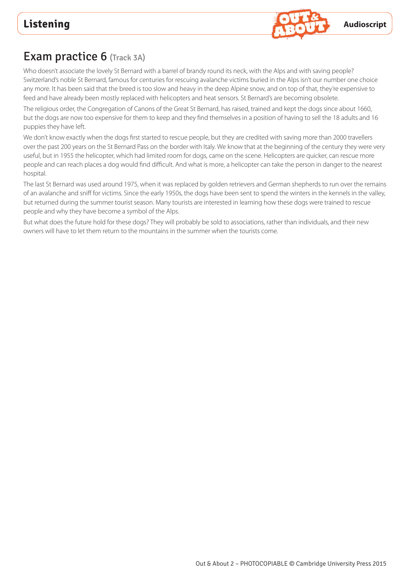

# Exam practice 6 (Track 3A)

Who doesn't associate the lovely St Bernard with a barrel of brandy round its neck, with the Alps and with saving people? Switzerland's noble St Bernard, famous for centuries for rescuing avalanche victims buried in the Alps isn't our number one choice any more. It has been said that the breed is too slow and heavy in the deep Alpine snow, and on top of that, they're expensive to feed and have already been mostly replaced with helicopters and heat sensors. St Bernard's are becoming obsolete.

The religious order, the Congregation of Canons of the Great St Bernard, has raised, trained and kept the dogs since about 1660, but the dogs are now too expensive for them to keep and they find themselves in a position of having to sell the 18 adults and 16 puppies they have left.

We don't know exactly when the dogs first started to rescue people, but they are credited with saving more than 2000 travellers over the past 200 years on the St Bernard Pass on the border with Italy. We know that at the beginning of the century they were very useful, but in 1955 the helicopter, which had limited room for dogs, came on the scene. Helicopters are quicker, can rescue more people and can reach places a dog would find difficult. And what is more, a helicopter can take the person in danger to the nearest hospital.

The last St Bernard was used around 1975, when it was replaced by golden retrievers and German shepherds to run over the remains of an avalanche and sniff for victims. Since the early 1950s, the dogs have been sent to spend the winters in the kennels in the valley, but returned during the summer tourist season. Many tourists are interested in learning how these dogs were trained to rescue people and why they have become a symbol of the Alps.

But what does the future hold for these dogs? They will probably be sold to associations, rather than individuals, and their new owners will have to let them return to the mountains in the summer when the tourists come.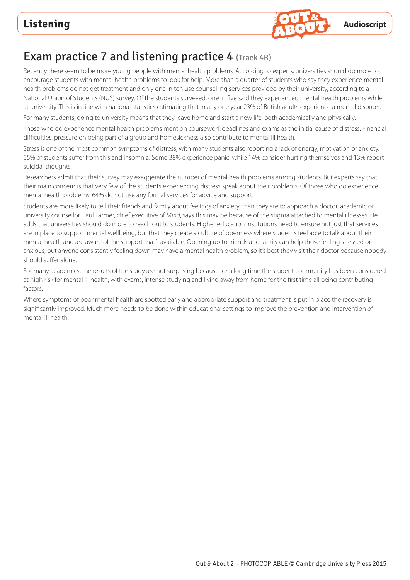

# Exam practice 7 and listening practice 4  $(Track 4B)$

Recently there seem to be more young people with mental health problems. According to experts, universities should do more to encourage students with mental health problems to look for help. More than a quarter of students who say they experience mental health problems do not get treatment and only one in ten use counselling services provided by their university, according to a National Union of Students (NUS) survey. Of the students surveyed, one in five said they experienced mental health problems while at university. This is in line with national statistics estimating that in any one year 23% of British adults experience a mental disorder.

For many students, going to university means that they leave home and start a new life, both academically and physically.

Those who do experience mental health problems mention coursework deadlines and exams as the initial cause of distress. Financial difficulties, pressure on being part of a group and homesickness also contribute to mental ill health.

Stress is one of the most common symptoms of distress, with many students also reporting a lack of energy, motivation or anxiety. 55% of students suffer from this and insomnia. Some 38% experience panic, while 14% consider hurting themselves and 13% report suicidal thoughts.

Researchers admit that their survey may exaggerate the number of mental health problems among students. But experts say that their main concern is that very few of the students experiencing distress speak about their problems. Of those who do experience mental health problems, 64% do not use any formal services for advice and support.

Students are more likely to tell their friends and family about feelings of anxiety, than they are to approach a doctor, academic or university counsellor. Paul Farmer, chief executive of *Mind*, says this may be because of the stigma attached to mental illnesses. He adds that universities should do more to reach out to students. Higher education institutions need to ensure not just that services are in place to support mental wellbeing, but that they create a culture of openness where students feel able to talk about their mental health and are aware of the support that's available. Opening up to friends and family can help those feeling stressed or anxious, but anyone consistently feeling down may have a mental health problem, so it's best they visit their doctor because nobody should suffer alone.

For many academics, the results of the study are not surprising because for a long time the student community has been considered at high risk for mental ill health, with exams, intense studying and living away from home for the first time all being contributing factors.

Where symptoms of poor mental health are spotted early and appropriate support and treatment is put in place the recovery is significantly improved. Much more needs to be done within educational settings to improve the prevention and intervention of mental ill health.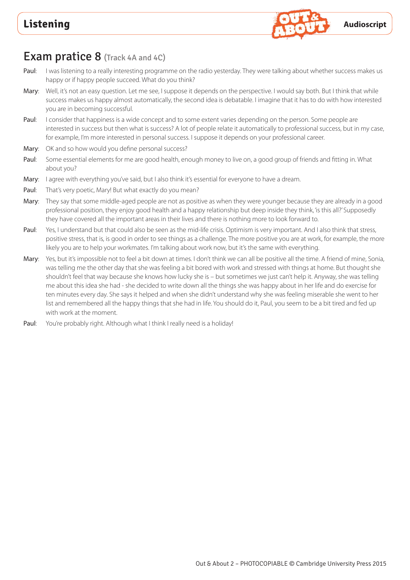

### **Exam pratice 8** (Track 4A and 4C)

- Paul: I was listening to a really interesting programme on the radio yesterday. They were talking about whether success makes us happy or if happy people succeed. What do you think?
- Mary: Well, it's not an easy question. Let me see, I suppose it depends on the perspective. I would say both. But I think that while success makes us happy almost automatically, the second idea is debatable. I imagine that it has to do with how interested you are in becoming successful.
- Paul: I consider that happiness is a wide concept and to some extent varies depending on the person. Some people are interested in success but then what is success? A lot of people relate it automatically to professional success, but in my case, for example, I'm more interested in personal success. I suppose it depends on your professional career.
- Mary: OK and so how would you define personal success?
- Paul: Some essential elements for me are good health, enough money to live on, a good group of friends and fitting in. What about you?
- Mary: I agree with everything you've said, but I also think it's essential for everyone to have a dream.
- Paul: That's very poetic, Mary! But what exactly do you mean?
- Mary: They say that some middle-aged people are not as positive as when they were younger because they are already in a good professional position, they enjoy good health and a happy relationship but deep inside they think, 'is this all?' Supposedly they have covered all the important areas in their lives and there is nothing more to look forward to.
- Paul: Yes, I understand but that could also be seen as the mid-life crisis. Optimism is very important. And I also think that stress, positive stress, that is, is good in order to see things as a challenge. The more positive you are at work, for example, the more likely you are to help your workmates. I'm talking about work now, but it's the same with everything.
- Mary: Yes, but it's impossible not to feel a bit down at times. I don't think we can all be positive all the time. A friend of mine, Sonia, was telling me the other day that she was feeling a bit bored with work and stressed with things at home. But thought she shouldn't feel that way because she knows how lucky she is – but sometimes we just can't help it. Anyway, she was telling me about this idea she had - she decided to write down all the things she was happy about in her life and do exercise for ten minutes every day. She says it helped and when she didn't understand why she was feeling miserable she went to her list and remembered all the happy things that she had in life. You should do it, Paul, you seem to be a bit tired and fed up with work at the moment.
- Paul: You're probably right. Although what I think I really need is a holiday!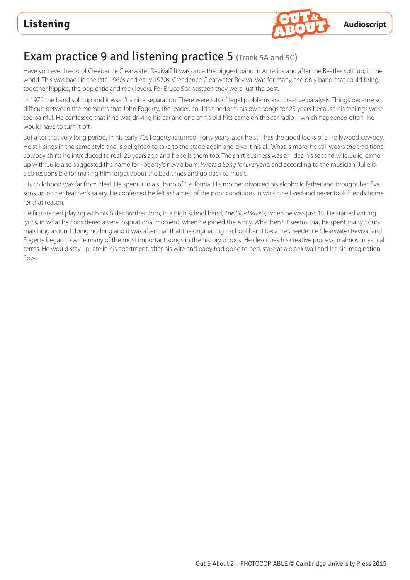

# Exam practice 9 and listening practice 5 (Track 5A and 5C)

Have you ever heard of Creedence Clearwater Revival? It was once the biggest band in America and after the Beatles split up, in the world. This was back in the late 1960s and early 1970s. Creedence Clearwater Revival was for many, the only band that could bring together hippies, the pop critic and rock lovers. For Bruce Springsteen they were just the best.

In 1972 the band split up and it wasn't a nice separation. There were lots of legal problems and creative paralysis. Things became so difficult between the members that John Fogerty, the leader, couldn't perform his own songs for 25 years because his feelings were too painful. He confessed that if he was driving his car and one of his old hits came on the car radio – which happened often- he would have to turn it off.

But after that very long period, in his early 70s Fogerty returned! Forty years later, he still has the good looks of a Hollywood cowboy. He still sings in the same style and is delighted to take to the stage again and give it his all. What is more, he still wears the traditional cowboy shirts he introduced to rock 20 years ago and he sells them too. The shirt business was an idea his second wife, Julie, came up with. Julie also suggested the name for Fogerty's new album: *Wrote a Song for Everyone,* and according to the musician, Julie is also responsible for making him forget about the bad times and go back to music.

His childhood was far from ideal. He spent it in a suburb of California. His mother divorced his alcoholic father and brought her five sons up on her teacher's salary. He confessed he felt ashamed of the poor conditions in which he lived and never took friends home for that reason.

He first started playing with his older brother, Tom, in a high school band, *The Blue Velvets,* when he was just 15. He started writing lyrics, in what he considered a very inspirational moment, when he joined the Army. Why then? It seems that he spent many hours marching around doing nothing and it was after that that the original high school band became Creedence Clearwater Revival and Fogerty began to write many of the most important songs in the history of rock. He describes his creative process in almost mystical terms. He would stay up late in his apartment, after his wife and baby had gone to bed, stare at a blank wall and let his imagination flow.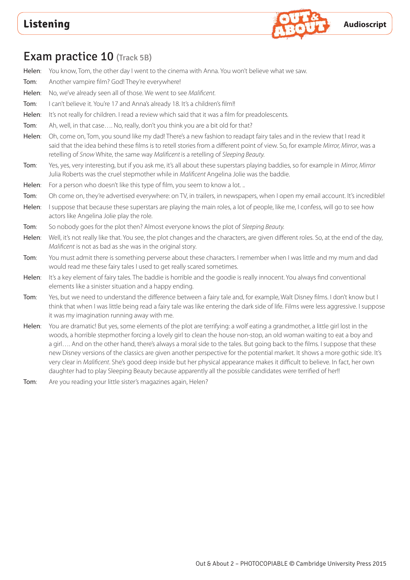

### Exam practice 10 (Track 5B)

Helen: You know, Tom, the other day I went to the cinema with Anna. You won't believe what we saw.

- Tom: Another vampire film? God! They're everywhere!
- Helen: No, we've already seen all of those. We went to see *Malificent.*
- Tom: I can't believe it. You're 17 and Anna's already 18. It's a children's film!!
- Helen: It's not really for children. I read a review which said that it was a film for preadolescents.
- Tom: Ah, well, in that case.... No, really, don't you think you are a bit old for that?
- Helen: Oh, come on, Tom, you sound like my dad! There's a new fashion to readapt fairy tales and in the review that I read it said that the idea behind these films is to retell stories from a different point of view. So, for example *Mirror, Mirror*, was a retelling of *Snow* White, the same way *Malificent* is a retelling of *Sleeping Beauty.*
- Tom: Yes, yes, very interesting, but if you ask me, it's all about these superstars playing baddies, so for example in *Mirror, Mirror*  Julia Roberts was the cruel stepmother while in *Malificent* Angelina Jolie was the baddie.
- Helen: For a person who doesn't like this type of film, you seem to know a lot. ..
- Tom: Oh come on, they're advertised everywhere: on TV, in trailers, in newspapers, when I open my email account. It's incredible!
- Helen: I suppose that because these superstars are playing the main roles, a lot of people, like me, I confess, will go to see how actors like Angelina Jolie play the role.
- Tom: So nobody goes for the plot then? Almost everyone knows the plot of *Sleeping Beauty.*
- Helen: Well, it's not really like that. You see, the plot changes and the characters, are given different roles. So, at the end of the day, *Malificent* is not as bad as she was in the original story.
- Tom: You must admit there is something perverse about these characters. I remember when I was little and my mum and dad would read me these fairy tales I used to get really scared sometimes.
- Helen: It's a key element of fairy tales. The baddie is horrible and the goodie is really innocent. You always find conventional elements like a sinister situation and a happy ending.
- Tom: Yes, but we need to understand the difference between a fairy tale and, for example, Walt Disney films. I don't know but I think that when I was little being read a fairy tale was like entering the dark side of life. Films were less aggressive. I suppose it was my imagination running away with me.
- Helen: You are dramatic! But yes, some elements of the plot are terrifying: a wolf eating a grandmother, a little girl lost in the woods, a horrible stepmother forcing a lovely girl to clean the house non-stop, an old woman waiting to eat a boy and a girl…. And on the other hand, there's always a moral side to the tales. But going back to the films. I suppose that these new Disney versions of the classics are given another perspective for the potential market. It shows a more gothic side. It's very clear in *Malificent*. She's good deep inside but her physical appearance makes it difficult to believe. In fact, her own daughter had to play Sleeping Beauty because apparently all the possible candidates were terrified of her!!
- Tom: Are you reading your little sister's magazines again, Helen?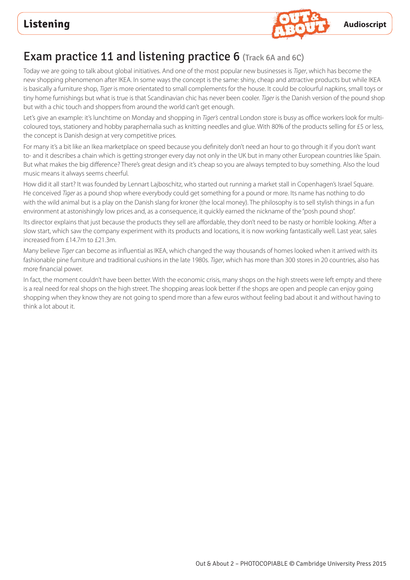

# Exam practice 11 and listening practice 6 (Track 6A and 6C)

Today we are going to talk about global initiatives. And one of the most popular new businesses is *Tiger*, which has become the new shopping phenomenon after IKEA. In some ways the concept is the same: shiny, cheap and attractive products but while IKEA is basically a furniture shop, *Tiger* is more orientated to small complements for the house. It could be colourful napkins, small toys or tiny home furnishings but what is true is that Scandinavian chic has never been cooler. *Tiger* is the Danish version of the pound shop but with a chic touch and shoppers from around the world can't get enough.

Let's give an example: it's lunchtime on Monday and shopping in *Tiger's* central London store is busy as office workers look for multicoloured toys, stationery and hobby paraphernalia such as knitting needles and glue. With 80% of the products selling for £5 or less, the concept is Danish design at very competitive prices.

For many it's a bit like an Ikea marketplace on speed because you definitely don't need an hour to go through it if you don't want to- and it describes a chain which is getting stronger every day not only in the UK but in many other European countries like Spain. But what makes the big difference? There's great design and it's cheap so you are always tempted to buy something. Also the loud music means it always seems cheerful.

How did it all start? It was founded by Lennart Lajboschitz, who started out running a market stall in Copenhagen's Israel Square. He conceived *Tiger* as a pound shop where everybody could get something for a pound or more. Its name has nothing to do with the wild animal but is a play on the Danish slang for kroner (the local money). The philosophy is to sell stylish things in a fun environment at astonishingly low prices and, as a consequence, it quickly earned the nickname of the "posh pound shop".

Its director explains that just because the products they sell are affordable, they don't need to be nasty or horrible looking. After a slow start, which saw the company experiment with its products and locations, it is now working fantastically well. Last year, sales increased from £14.7m to £21.3m.

Many believe *Tiger* can become as influential as IKEA, which changed the way thousands of homes looked when it arrived with its fashionable pine furniture and traditional cushions in the late 1980s. *Tiger*, which has more than 300 stores in 20 countries, also has more financial power.

In fact, the moment couldn't have been better. With the economic crisis, many shops on the high streets were left empty and there is a real need for real shops on the high street. The shopping areas look better if the shops are open and people can enjoy going shopping when they know they are not going to spend more than a few euros without feeling bad about it and without having to think a lot about it.